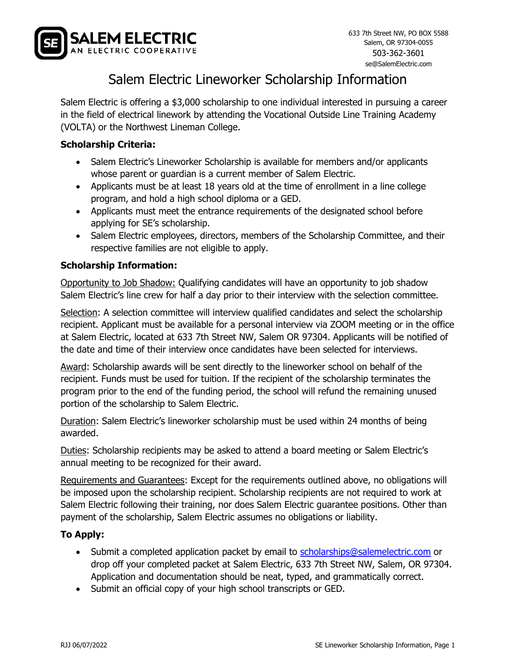

# Salem Electric Lineworker Scholarship Information

Salem Electric is offering a \$3,000 scholarship to one individual interested in pursuing a career in the field of electrical linework by attending the Vocational Outside Line Training Academy (VOLTA) or the Northwest Lineman College.

### **Scholarship Criteria:**

- Salem Electric's Lineworker Scholarship is available for members and/or applicants whose parent or guardian is a current member of Salem Electric.
- Applicants must be at least 18 years old at the time of enrollment in a line college program, and hold a high school diploma or a GED.
- Applicants must meet the entrance requirements of the designated school before applying for SE's scholarship.
- Salem Electric employees, directors, members of the Scholarship Committee, and their respective families are not eligible to apply.

### **Scholarship Information:**

Opportunity to Job Shadow: Qualifying candidates will have an opportunity to job shadow Salem Electric's line crew for half a day prior to their interview with the selection committee.

Selection: A selection committee will interview qualified candidates and select the scholarship recipient. Applicant must be available for a personal interview via ZOOM meeting or in the office at Salem Electric, located at 633 7th Street NW, Salem OR 97304. Applicants will be notified of the date and time of their interview once candidates have been selected for interviews.

Award: Scholarship awards will be sent directly to the lineworker school on behalf of the recipient. Funds must be used for tuition. If the recipient of the scholarship terminates the program prior to the end of the funding period, the school will refund the remaining unused portion of the scholarship to Salem Electric.

Duration: Salem Electric's lineworker scholarship must be used within 24 months of being awarded.

Duties: Scholarship recipients may be asked to attend a board meeting or Salem Electric's annual meeting to be recognized for their award.

Requirements and Guarantees: Except for the requirements outlined above, no obligations will be imposed upon the scholarship recipient. Scholarship recipients are not required to work at Salem Electric following their training, nor does Salem Electric guarantee positions. Other than payment of the scholarship, Salem Electric assumes no obligations or liability.

#### **To Apply:**

- Submit a completed application packet by email to [scholarships@salemelectric.com](mailto:scholarships@salemelectric.com) or drop off your completed packet at Salem Electric, 633 7th Street NW, Salem, OR 97304. Application and documentation should be neat, typed, and grammatically correct.
- Submit an official copy of your high school transcripts or GED.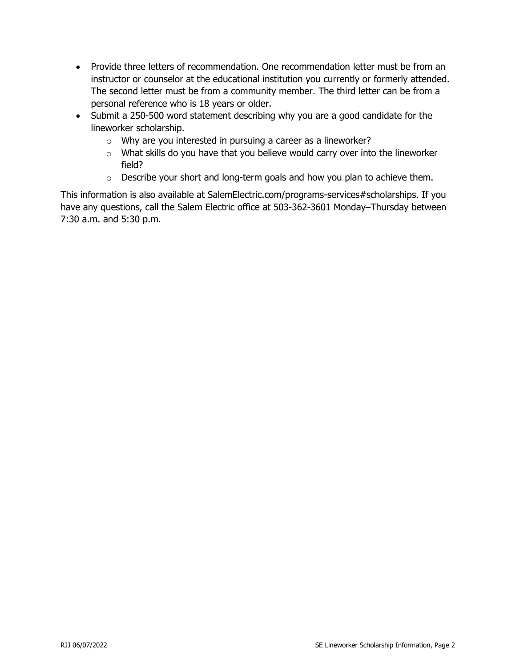- Provide three letters of recommendation. One recommendation letter must be from an instructor or counselor at the educational institution you currently or formerly attended. The second letter must be from a community member. The third letter can be from a personal reference who is 18 years or older.
- Submit a 250-500 word statement describing why you are a good candidate for the lineworker scholarship.
	- $\circ$  Why are you interested in pursuing a career as a lineworker?
	- o What skills do you have that you believe would carry over into the lineworker field?
	- $\circ$  Describe your short and long-term goals and how you plan to achieve them.

This information is also available at SalemElectric.com/programs-services#scholarships. If you have any questions, call the Salem Electric office at 503-362-3601 Monday–Thursday between 7:30 a.m. and 5:30 p.m.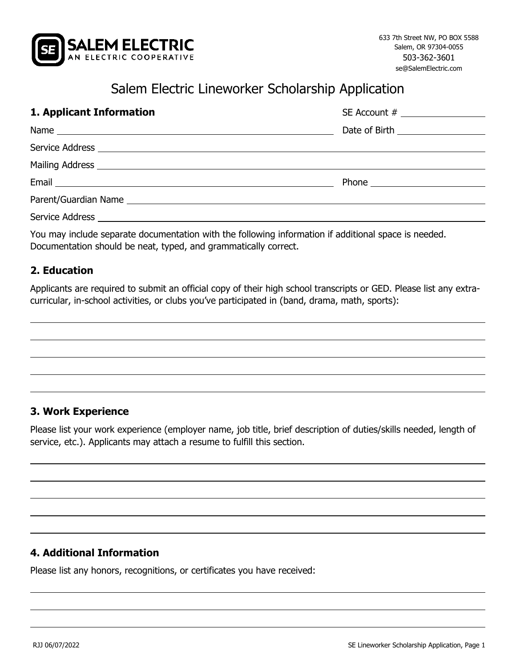

# Salem Electric Lineworker Scholarship Application

| 1. Applicant Information | Date of Birth ____________________ |  |
|--------------------------|------------------------------------|--|
|                          |                                    |  |
|                          |                                    |  |
|                          |                                    |  |
|                          |                                    |  |
|                          |                                    |  |
|                          |                                    |  |

You may include separate documentation with the following information if additional space is needed. Documentation should be neat, typed, and grammatically correct.

## **2. Education**

Applicants are required to submit an official copy of their high school transcripts or GED. Please list any extracurricular, in-school activities, or clubs you've participated in (band, drama, math, sports):

## **3. Work Experience**

Please list your work experience (employer name, job title, brief description of duties/skills needed, length of service, etc.). Applicants may attach a resume to fulfill this section.

#### **4. Additional Information**

Please list any honors, recognitions, or certificates you have received: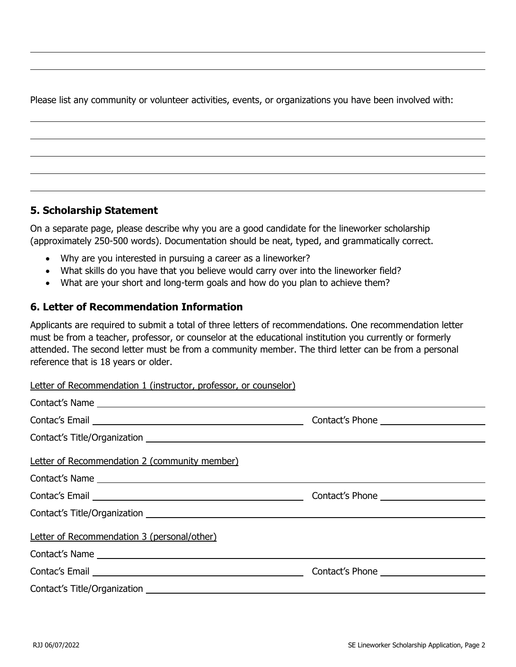Please list any community or volunteer activities, events, or organizations you have been involved with:

# **5. Scholarship Statement**

On a separate page, please describe why you are a good candidate for the lineworker scholarship (approximately 250-500 words). Documentation should be neat, typed, and grammatically correct.

- Why are you interested in pursuing a career as a lineworker?
- What skills do you have that you believe would carry over into the lineworker field?
- What are your short and long-term goals and how do you plan to achieve them?

# **6. Letter of Recommendation Information**

Applicants are required to submit a total of three letters of recommendations. One recommendation letter must be from a teacher, professor, or counselor at the educational institution you currently or formerly attended. The second letter must be from a community member. The third letter can be from a personal reference that is 18 years or older.

Letter of Recommendation 1 (instructor, professor, or counselor)

| Contact's Name                                |  |
|-----------------------------------------------|--|
|                                               |  |
|                                               |  |
| Letter of Recommendation 2 (community member) |  |
| Contact's Name                                |  |
|                                               |  |
|                                               |  |
| Letter of Recommendation 3 (personal/other)   |  |
|                                               |  |
|                                               |  |
|                                               |  |